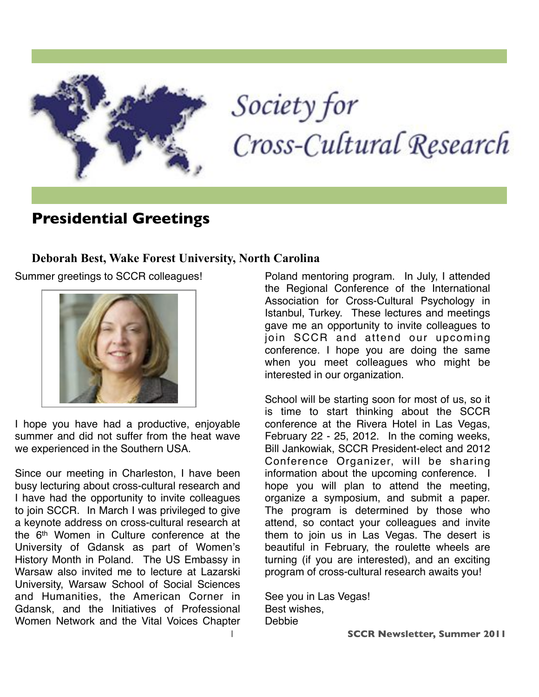

# Society for Cross-Cultural Research

## **Presidential Greetings**

#### **Deborah Best, Wake Forest University, North Carolina**

Summer greetings to SCCR colleagues!



I hope you have had a productive, enjoyable summer and did not suffer from the heat wave we experienced in the Southern USA.

Since our meeting in Charleston, I have been busy lecturing about cross-cultural research and I have had the opportunity to invite colleagues to join SCCR. In March I was privileged to give a keynote address on cross-cultural research at the 6th Women in Culture conference at the University of Gdansk as part of Women's History Month in Poland. The US Embassy in Warsaw also invited me to lecture at Lazarski University, Warsaw School of Social Sciences and Humanities, the American Corner in Gdansk, and the Initiatives of Professional Women Network and the Vital Voices Chapter Poland mentoring program. In July, I attended the Regional Conference of the International Association for Cross-Cultural Psychology in Istanbul, Turkey. These lectures and meetings gave me an opportunity to invite colleagues to join SCCR and attend our upcoming conference. I hope you are doing the same when you meet colleagues who might be interested in our organization.

School will be starting soon for most of us, so it is time to start thinking about the SCCR conference at the Rivera Hotel in Las Vegas, February 22 - 25, 2012. In the coming weeks, Bill Jankowiak, SCCR President-elect and 2012 Conference Organizer, will be sharing information about the upcoming conference. I hope you will plan to attend the meeting, organize a symposium, and submit a paper. The program is determined by those who attend, so contact your colleagues and invite them to join us in Las Vegas. The desert is beautiful in February, the roulette wheels are turning (if you are interested), and an exciting program of cross-cultural research awaits you!

See you in Las Vegas! Best wishes, Debbie

1 **SCCR Newsletter, Summer 2011**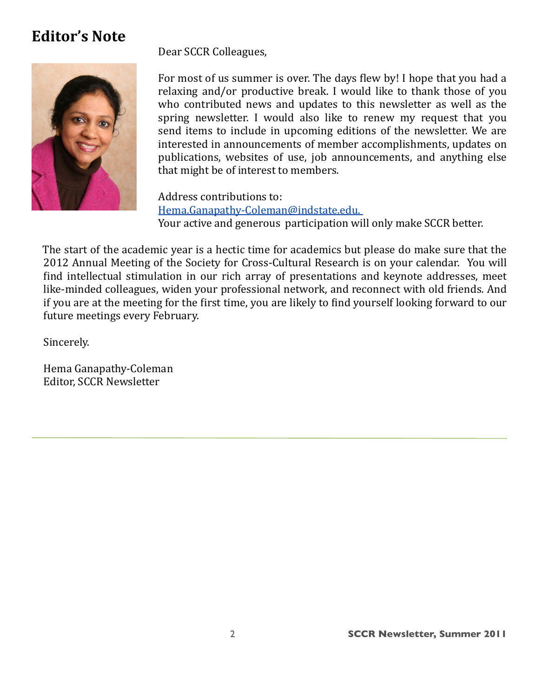## **Editor's Note**



Dear SCCR Colleagues,

For most of us summer is over. The days flew by! I hope that you had a relaxing and/or productive break. I would like to thank those of you who contributed news and updates to this newsletter as well as the spring newsletter. I would also like to renew my request that you send items to include in upcoming editions of the newsletter. We are interested in announcements of member accomplishments, updates on publications, websites of use, job announcements, and anything else that might be of interest to members.

Address contributions to: Hema.Ganapathy-Coleman@indstate.edu. Your active and generous participation will only make SCCR better.

The start of the academic year is a hectic time for academics but please do make sure that the 2012 Annual Meeting of the Society for Cross-Cultural Research is on your calendar. You will find intellectual stimulation in our rich array of presentations and keynote addresses, meet like-minded colleagues, widen your professional network, and reconnect with old friends. And if you are at the meeting for the first time, you are likely to find yourself looking forward to our future meetings every February.

Sincerely.

Hema Ganapathy-Coleman Editor, SCCR Newsletter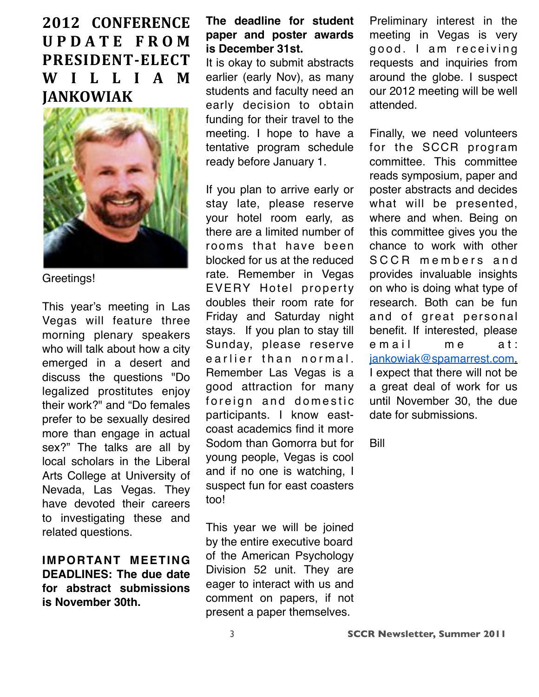**2012 CONFERENCE UPDATE FROM**  $PRESIDENT-ELECT$ **WILLIAM JANKOWIAK** 



Greetings!

This year's meeting in Las Vegas will feature three morning plenary speakers who will talk about how a city emerged in a desert and discuss the questions "Do legalized prostitutes enjoy their work?" and "Do females prefer to be sexually desired more than engage in actual sex?" The talks are all by local scholars in the Liberal Arts College at University of Nevada, Las Vegas. They have devoted their careers to investigating these and related questions.

**IMPORTANT MEETING DEADLINES: The due date for abstract submissions is November 30th.** 

#### **The deadline for student paper and poster awards is December 31st.**

It is okay to submit abstracts earlier (early Nov), as many students and faculty need an early decision to obtain funding for their travel to the meeting. I hope to have a tentative program schedule ready before January 1.

If you plan to arrive early or stay late, please reserve your hotel room early, as there are a limited number of rooms that have been blocked for us at the reduced rate. Remember in Vegas EVERY Hotel property doubles their room rate for Friday and Saturday night stays. If you plan to stay till Sunday, please reserve e arlier than normal. Remember Las Vegas is a good attraction for many foreign and domestic participants. I know eastcoast academics find it more Sodom than Gomorra but for young people, Vegas is cool and if no one is watching, I suspect fun for east coasters too!

This year we will be joined by the entire executive board of the American Psychology Division 52 unit. They are eager to interact with us and comment on papers, if not present a paper themselves.

Preliminary interest in the meeting in Vegas is very good. I am receiving requests and inquiries from around the globe. I suspect our 2012 meeting will be well attended.

Finally, we need volunteers for the SCCR program committee. This committee reads symposium, paper and poster abstracts and decides what will be presented, where and when. Being on this committee gives you the chance to work with other SCCR members and provides invaluable insights on who is doing what type of research. Both can be fun and of great personal benefit. If interested, please e mail me at: [jankowiak@spamarrest.com.](mailto:jankowiak@spamarrest.com.I) [I](mailto:jankowiak@spamarrest.com.I) expect that there will not be a great deal of work for us until November 30, the due date for submissions.

Bill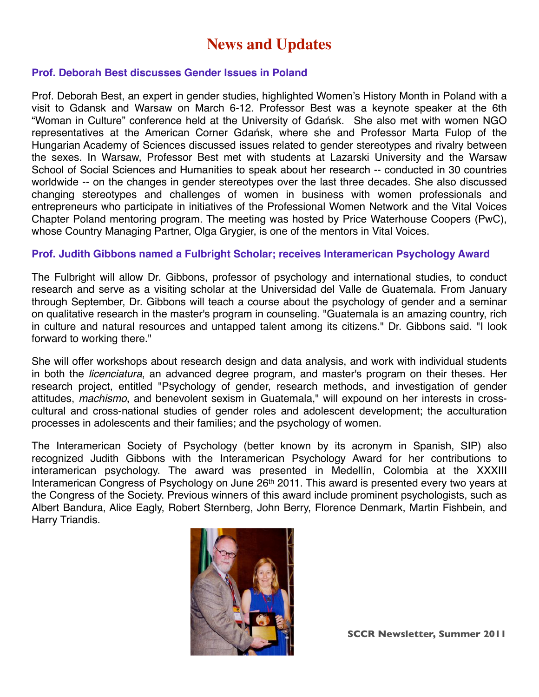## **News and Updates**

#### **Prof. Deborah Best discusses Gender Issues in Poland**

Prof. Deborah Best, an expert in gender studies, highlighted Women's History Month in Poland with a visit to Gdansk and Warsaw on March 6-12. Professor Best was a keynote speaker at the 6th "Woman in Culture" conference held at the University of Gdańsk. She also met with women NGO representatives at the American Corner Gdańsk, where she and Professor Marta Fulop of the Hungarian Academy of Sciences discussed issues related to gender stereotypes and rivalry between the sexes. In Warsaw, Professor Best met with students at Lazarski University and the Warsaw School of Social Sciences and Humanities to speak about her research -- conducted in 30 countries worldwide -- on the changes in gender stereotypes over the last three decades. She also discussed changing stereotypes and challenges of women in business with women professionals and entrepreneurs who participate in initiatives of the Professional Women Network and the Vital Voices Chapter Poland mentoring program. The meeting was hosted by Price Waterhouse Coopers (PwC), whose Country Managing Partner, Olga Grygier, is one of the mentors in Vital Voices.

#### **Prof. Judith Gibbons named a Fulbright Scholar; receives Interamerican Psychology Award**

The Fulbright will allow Dr. Gibbons, professor of psychology and international studies, to conduct research and serve as a visiting scholar at the Universidad del Valle de Guatemala. From January through September, Dr. Gibbons will teach a course about the psychology of gender and a seminar on qualitative research in the master's program in counseling. "Guatemala is an amazing country, rich in culture and natural resources and untapped talent among its citizens." Dr. Gibbons said. "I look forward to working there."

She will offer workshops about research design and data analysis, and work with individual students in both the *licenciatura*, an advanced degree program, and master's program on their theses. Her research project, entitled "Psychology of gender, research methods, and investigation of gender attitudes, *machismo*, and benevolent sexism in Guatemala," will expound on her interests in crosscultural and cross-national studies of gender roles and adolescent development; the acculturation processes in adolescents and their families; and the psychology of women.

The Interamerican Society of Psychology (better known by its acronym in Spanish, SIP) also recognized Judith Gibbons with the Interamerican Psychology Award for her contributions to interamerican psychology. The award was presented in Medellín, Colombia at the XXXIII Interamerican Congress of Psychology on June 26<sup>th</sup> 2011. This award is presented every two years at the Congress of the Society. Previous winners of this award include prominent psychologists, such as Albert Bandura, Alice Eagly, Robert Sternberg, John Berry, Florence Denmark, Martin Fishbein, and Harry Triandis.

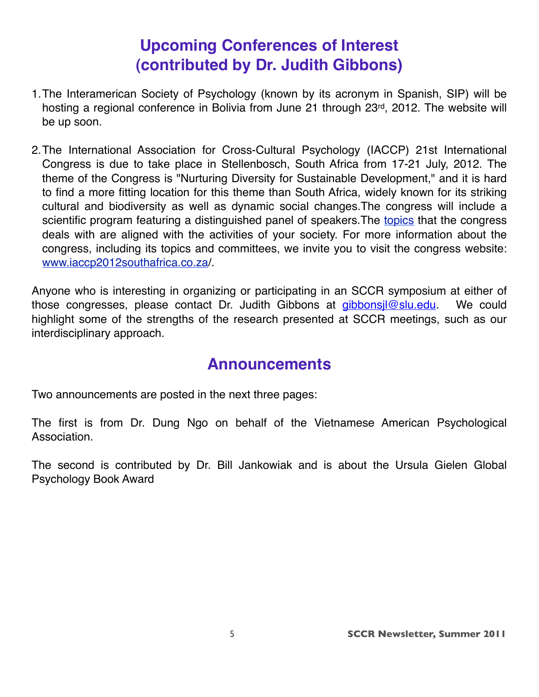# **Upcoming Conferences of Interest (contributed by Dr. Judith Gibbons)**

- 1.The Interamerican Society of Psychology (known by its acronym in Spanish, SIP) will be hosting a regional conference in Bolivia from June 21 through 23rd, 2012. The website will be up soon.
- 2.The International Association for Cross-Cultural Psychology (IACCP) 21st International Congress is due to take place in Stellenbosch, South Africa from 17-21 July, 2012. The theme of the Congress is "Nurturing Diversity for Sustainable Development," and it is hard to find a more fitting location for this theme than South Africa, widely known for its striking cultural and biodiversity as well as dynamic social changes.The congress will include a scientific program featuring a distinguished panel of speakers. The [topics](http://www.iaccp2012southafrica.co.za/index.php?option=com_content&view=article&id=54&Itemid=75) that the congress deals with are aligned with the activities of your society. For more information about the congress, including its topics and committees, we invite you to visit the congress website: [www.iaccp2012southafrica.co.za/](http://www.iaccp2012southafrica.co.za/).

Anyone who is interesting in organizing or participating in an SCCR symposium at either of those congresses, please contact Dr. Judith Gibbons at *gibbonsjl@slu.edu*. We could highlight some of the strengths of the research presented at SCCR meetings, such as our interdisciplinary approach.

## **Announcements**

Two announcements are posted in the next three pages:

The first is from Dr. Dung Ngo on behalf of the Vietnamese American Psychological Association.

The second is contributed by Dr. Bill Jankowiak and is about the Ursula Gielen Global Psychology Book Award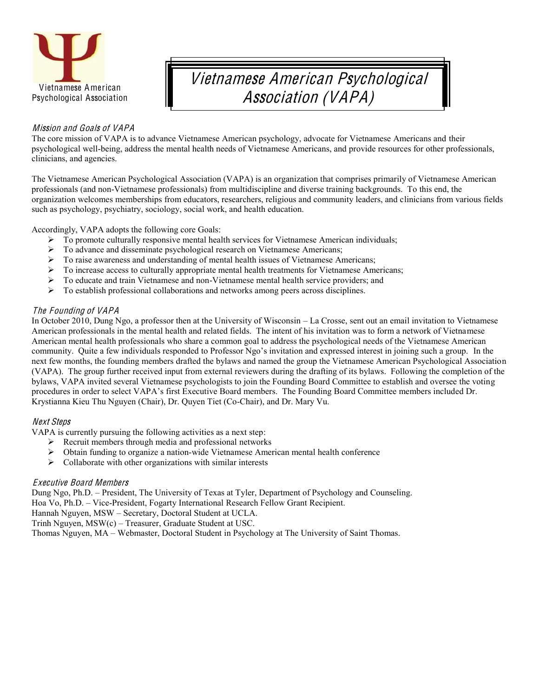

# Vietnames<sup>e</sup> American Psy<sup>c</sup>hological Association (VAPA)

#### Mission and Goals of VAPA

The core mission of VAPA is to advance Vietnamese American psychology, advocate for Vietnamese Americans and their psychological well-being, address the mental health needs of Vietnamese Americans, and provide resources for other professionals, clinicians, and agencies.

The Vietnamese American Psychological Association (VAPA) is an organization that comprises primarily of Vietnamese American professionals (and non-Vietnamese professionals) from multidiscipline and diverse training backgrounds. To this end, the organization welcomes memberships from educators, researchers, religious and community leaders, and clinicians from various fields such as psychology, psychiatry, sociology, social work, and health education.

Accordingly, VAPA adopts the following core Goals:

- $\triangleright$  To promote culturally responsive mental health services for Vietnamese American individuals;
- ¾ To advance and disseminate psychological research on Vietnamese Americans;
- $\triangleright$  To raise awareness and understanding of mental health issues of Vietnamese Americans;
- ¾ To increase access to culturally appropriate mental health treatments for Vietnamese Americans;
- $\triangleright$  To educate and train Vietnamese and non-Vietnamese mental health service providers; and
- $\triangleright$  To establish professional collaborations and networks among peers across disciplines.

#### Th<sup>e</sup> Founding of VAPA

In October 2010, Dung Ngo, a professor then at the University of Wisconsin – La Crosse, sent out an email invitation to Vietnamese American professionals in the mental health and related fields. The intent of his invitation was to form a network of Vietnamese American mental health professionals who share a common goal to address the psychological needs of the Vietnamese American community. Ouite a few individuals responded to Professor Ngo's invitation and expressed interest in joining such a group. In the next few months, the founding members drafted the bylaws and named the group the Vietnamese American Psychological Association (VAPA). The group further received input from external reviewers during the drafting of its bylaws. Following the completion of the bylaws, VAPA invited several Vietnamese psychologists to join the Founding Board Committee to establish and oversee the voting procedures in order to select VAPA's first Executive Board members. The Founding Board Committee members included Dr. Krystianna Kieu Thu Nguyen (Chair), Dr. Quyen Tiet (Co-Chair), and Dr. Mary Vu.

#### Next Step<sup>s</sup>

VAPA is currently pursuing the following activities as a next step:

- $\triangleright$  Recruit members through media and professional networks
- $\triangleright$  Obtain funding to organize a nation-wide Vietnamese American mental health conference
- $\triangleright$  Collaborate with other organizations with similar interests

#### Executive Board Members

Dung Ngo, Ph.D. – President, The University of Texas at Tyler, Department of Psychology and Counseling. Hoa Vo, Ph.D. - Vice-President, Fogarty International Research Fellow Grant Recipient.

Hannah Nguyen, MSW - Secretary, Doctoral Student at UCLA.

Trinh Nguyen,  $MSW(c)$  – Treasurer, Graduate Student at USC.

Thomas Nguyen, MA – Webmaster, Doctoral Student in Psychology at The University of Saint Thomas.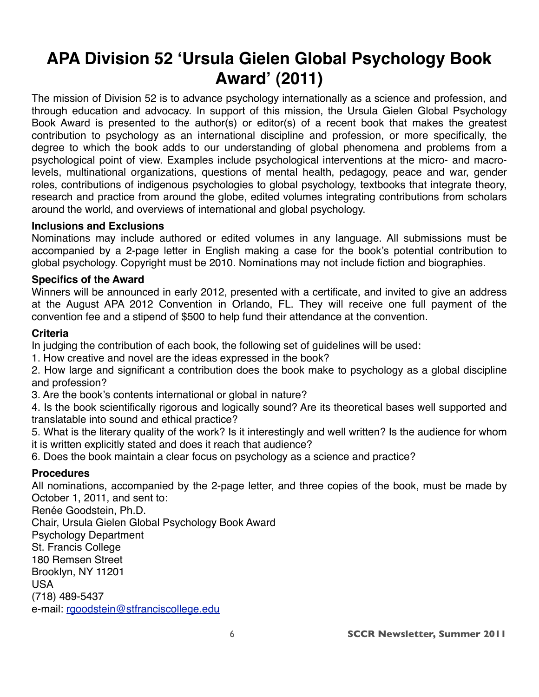# **APA Division 52 ʻUrsula Gielen Global Psychology Book Award' (2011)**

The mission of Division 52 is to advance psychology internationally as a science and profession, and through education and advocacy. In support of this mission, the Ursula Gielen Global Psychology Book Award is presented to the author(s) or editor(s) of a recent book that makes the greatest contribution to psychology as an international discipline and profession, or more specifically, the degree to which the book adds to our understanding of global phenomena and problems from a psychological point of view. Examples include psychological interventions at the micro- and macrolevels, multinational organizations, questions of mental health, pedagogy, peace and war, gender roles, contributions of indigenous psychologies to global psychology, textbooks that integrate theory, research and practice from around the globe, edited volumes integrating contributions from scholars around the world, and overviews of international and global psychology.

#### **Inclusions and Exclusions**

Nominations may include authored or edited volumes in any language. All submissions must be accompanied by a 2-page letter in English making a case for the book's potential contribution to global psychology. Copyright must be 2010. Nominations may not include fiction and biographies.

#### **Specifics of the Award**

Winners will be announced in early 2012, presented with a certificate, and invited to give an address at the August APA 2012 Convention in Orlando, FL. They will receive one full payment of the convention fee and a stipend of \$500 to help fund their attendance at the convention.

#### **Criteria**

In judging the contribution of each book, the following set of guidelines will be used:

1. How creative and novel are the ideas expressed in the book?

2. How large and significant a contribution does the book make to psychology as a global discipline and profession?

3. Are the book's contents international or global in nature?

4. Is the book scientifically rigorous and logically sound? Are its theoretical bases well supported and translatable into sound and ethical practice?

5. What is the literary quality of the work? Is it interestingly and well written? Is the audience for whom it is written explicitly stated and does it reach that audience?

6. Does the book maintain a clear focus on psychology as a science and practice?

#### **Procedures**

All nominations, accompanied by the 2-page letter, and three copies of the book, must be made by October 1, 2011, and sent to:

Renée Goodstein, Ph.D. Chair, Ursula Gielen Global Psychology Book Award Psychology Department St. Francis College 180 Remsen Street Brooklyn, NY 11201 USA (718) 489-5437 e-mail: [rgoodstein@stfranciscollege.edu](mailto:rgoodstein@stfranciscollege.edu)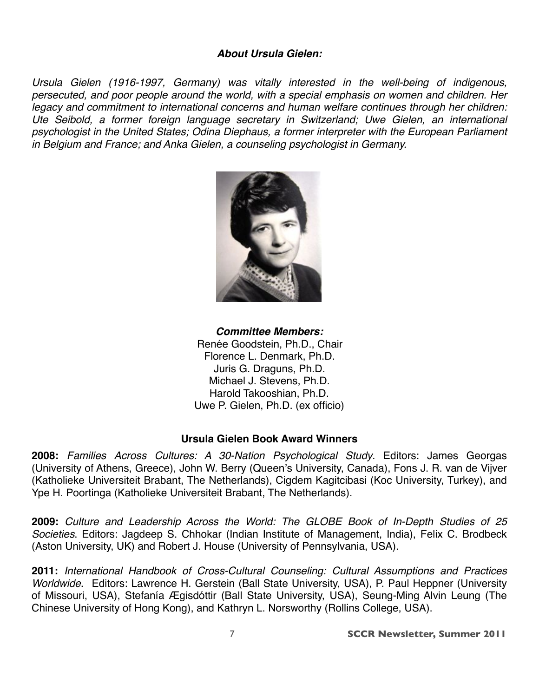#### *About Ursula Gielen:*

*Ursula Gielen (1916-1997, Germany) was vitally interested in the well-being of indigenous, persecuted, and poor people around the world, with a special emphasis on women and children. Her legacy and commitment to international concerns and human welfare continues through her children: Ute Seibold, a former foreign language secretary in Switzerland; Uwe Gielen, an international psychologist in the United States; Odina Diephaus, a former interpreter with the European Parliament in Belgium and France; and Anka Gielen, a counseling psychologist in Germany.*



*Committee Members:* Renée Goodstein, Ph.D., Chair Florence L. Denmark, Ph.D. Juris G. Draguns, Ph.D. Michael J. Stevens, Ph.D. Harold Takooshian, Ph.D. Uwe P. Gielen, Ph.D. (ex officio)

#### **Ursula Gielen Book Award Winners**

**2008:** *Families Across Cultures: A 30-Nation Psychological Study*. Editors: James Georgas (University of Athens, Greece), John W. Berry (Queen's University, Canada), Fons J. R. van de Vijver (Katholieke Universiteit Brabant, The Netherlands), Cigdem Kagitcibasi (Koc University, Turkey), and Ype H. Poortinga (Katholieke Universiteit Brabant, The Netherlands).

**2009:** *Culture and Leadership Across the World: The GLOBE Book of In-Depth Studies of 25 Societies*. Editors: Jagdeep S. Chhokar (Indian Institute of Management, India), Felix C. Brodbeck (Aston University, UK) and Robert J. House (University of Pennsylvania, USA).

**2011:** *International Handbook of Cross-Cultural Counseling: Cultural Assumptions and Practices Worldwide*. Editors: Lawrence H. Gerstein (Ball State University, USA), P. Paul Heppner (University of Missouri, USA), Stefanía Ægisdóttir (Ball State University, USA), Seung-Ming Alvin Leung (The Chinese University of Hong Kong), and Kathryn L. Norsworthy (Rollins College, USA).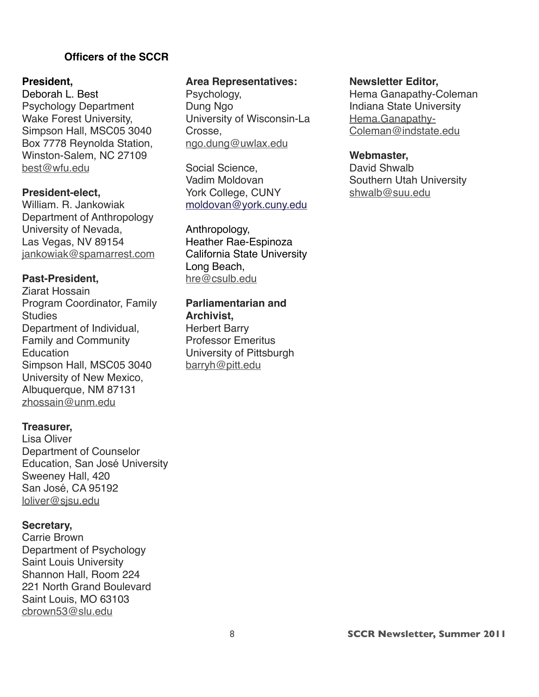#### **!!!!!!!!!!!!!!!!!!Officers of the SCCR**

#### **President,**

Deborah L. Best Psychology Department Wake Forest University, Simpson Hall, MSC05 3040 Box 7778 Reynolda Station, Winston-Salem, NC 27109 [best@wfu.edu](mailto:best@wfu.edu)

#### **President-elect,**

William. R. Jankowiak Department of Anthropology University of Nevada, Las Vegas, NV 89154 [jankowiak@spamarrest.com](mailto:jankowiak@spamarrest.com)

#### **Past-President,**

Ziarat Hossain Program Coordinator, Family **Studies** Department of Individual, Family and Community **Education** Simpson Hall, MSC05 3040 University of New Mexico, Albuquerque, NM 87131 [zhossain@unm.edu](mailto:zhossain@unm.edu)

#### **Treasurer,**

Lisa Oliver Department of Counselor Education, San José University Sweeney Hall, 420 San José, CA 95192 [loliver@sjsu.edu](mailto:loliver@sjsu.edu)

#### **Secretary,**

Carrie Brown Department of Psychology Saint Louis University Shannon Hall, Room 224 221 North Grand Boulevard Saint Louis, MO 63103 [cbrown53@slu.edu](mailto:cbrown53@slu.edu)

#### **Area Representatives:**

Psychology, Dung Ngo University of Wisconsin-La Crosse, [ngo.dung@uwlax.edu](mailto:ngo.dung@uwlax.edu)

Social Science, Vadim Moldovan York College, CUNY [moldovan@york.cuny.edu](mailto:moldovan@york.cuny.edu)

Anthropology, Heather Rae-Espinoza California State University Long Beach, [hre@csulb.edu](mailto:hre@csulb.edu)

#### **Parliamentarian and Archivist,**

Herbert Barry Professor Emeritus University of Pittsburgh [barryh@pitt.edu](mailto:barryh@pitt.edu)

#### **Newsletter Editor,**

Hema Ganapathy-Coleman Indiana State University [Hema.Ganapathy-](mailto:Hema.Ganapathy-Coleman@indstate.edu)[Coleman@indstate.edu](mailto:Hema.Ganapathy-Coleman@indstate.edu)

#### **Webmaster,**

David Shwalb Southern Utah University [shwalb@suu.edu](mailto:shwalb@suu.edu)